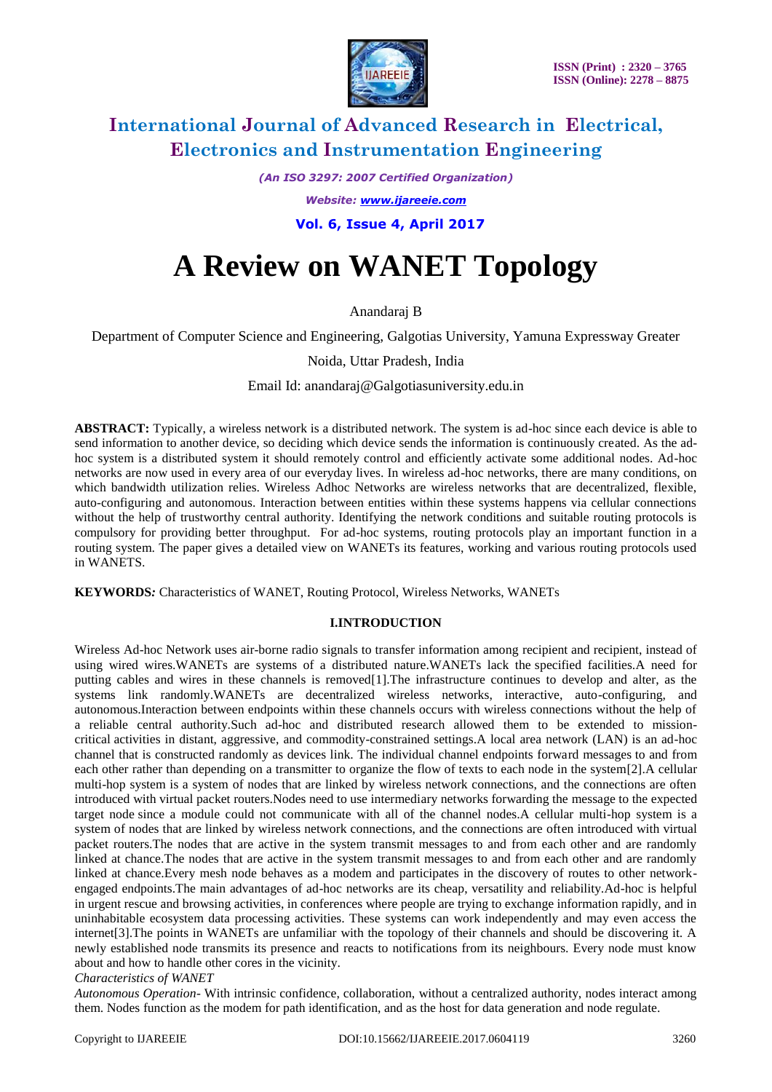

*(An ISO 3297: 2007 Certified Organization)*

*Website: [www.ijareeie.com](http://www.ijareeie.com/)*

 **Vol. 6, Issue 4, April 2017**

# **A Review on WANET Topology**

Anandaraj B

Department of Computer Science and Engineering, Galgotias University, Yamuna Expressway Greater

Noida, Uttar Pradesh, India

Email Id: anandaraj@Galgotiasuniversity.edu.in

**ABSTRACT:** Typically, a wireless network is a distributed network. The system is ad-hoc since each device is able to send information to another device, so deciding which device sends the information is continuously created. As the adhoc system is a distributed system it should remotely control and efficiently activate some additional nodes. Ad-hoc networks are now used in every area of our everyday lives. In wireless ad-hoc networks, there are many conditions, on which bandwidth utilization relies. Wireless Adhoc Networks are wireless networks that are decentralized, flexible, auto-configuring and autonomous. Interaction between entities within these systems happens via cellular connections without the help of trustworthy central authority. Identifying the network conditions and suitable routing protocols is compulsory for providing better throughput. For ad-hoc systems, routing protocols play an important function in a routing system. The paper gives a detailed view on WANETs its features, working and various routing protocols used in WANETS.

**KEYWORDS***:* Characteristics of WANET, Routing Protocol, Wireless Networks, WANETs

#### **I.INTRODUCTION**

Wireless Ad-hoc Network uses air-borne radio signals to transfer information among recipient and recipient, instead of using wired wires.WANETs are systems of a distributed nature.WANETs lack the specified facilities.A need for putting cables and wires in these channels is removed[1].The infrastructure continues to develop and alter, as the systems link randomly.WANETs are decentralized wireless networks, interactive, auto-configuring, and autonomous.Interaction between endpoints within these channels occurs with wireless connections without the help of a reliable central authority.Such ad-hoc and distributed research allowed them to be extended to missioncritical activities in distant, aggressive, and commodity-constrained settings.A local area network (LAN) is an ad-hoc channel that is constructed randomly as devices link. The individual channel endpoints forward messages to and from each other rather than depending on a transmitter to organize the flow of texts to each node in the system[2].A cellular multi-hop system is a system of nodes that are linked by wireless network connections, and the connections are often introduced with virtual packet routers.Nodes need to use intermediary networks forwarding the message to the expected target node since a module could not communicate with all of the channel nodes.A cellular multi-hop system is a system of nodes that are linked by wireless network connections, and the connections are often introduced with virtual packet routers.The nodes that are active in the system transmit messages to and from each other and are randomly linked at chance.The nodes that are active in the system transmit messages to and from each other and are randomly linked at chance.Every mesh node behaves as a modem and participates in the discovery of routes to other networkengaged endpoints.The main advantages of ad-hoc networks are its cheap, versatility and reliability.Ad-hoc is helpful in urgent rescue and browsing activities, in conferences where people are trying to exchange information rapidly, and in uninhabitable ecosystem data processing activities. These systems can work independently and may even access the internet[3].The points in WANETs are unfamiliar with the topology of their channels and should be discovering it. A newly established node transmits its presence and reacts to notifications from its neighbours. Every node must know about and how to handle other cores in the vicinity.

*Characteristics of WANET*

*Autonomous Operation*- With intrinsic confidence, collaboration, without a centralized authority, nodes interact among them. Nodes function as the modem for path identification, and as the host for data generation and node regulate.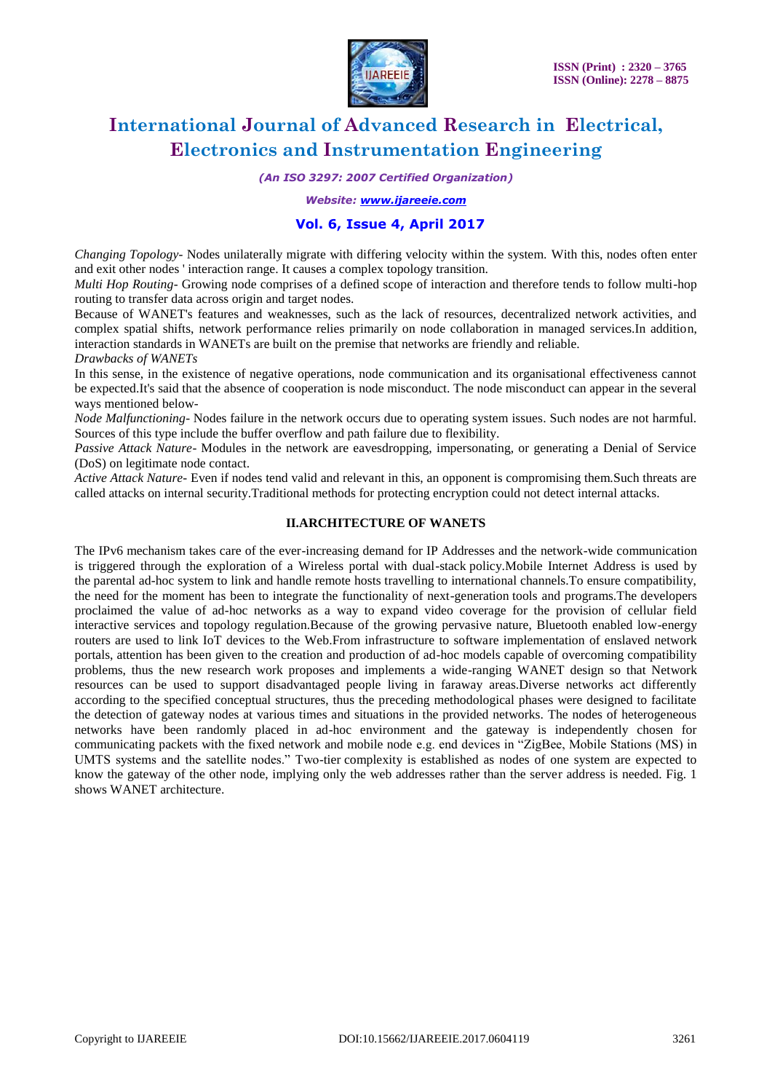

*(An ISO 3297: 2007 Certified Organization)*

*Website: [www.ijareeie.com](http://www.ijareeie.com/)*

### **Vol. 6, Issue 4, April 2017**

*Changing Topology*- Nodes unilaterally migrate with differing velocity within the system. With this, nodes often enter and exit other nodes ' interaction range. It causes a complex topology transition.

*Multi Hop Routing*- Growing node comprises of a defined scope of interaction and therefore tends to follow multi-hop routing to transfer data across origin and target nodes.

Because of WANET's features and weaknesses, such as the lack of resources, decentralized network activities, and complex spatial shifts, network performance relies primarily on node collaboration in managed services.In addition, interaction standards in WANETs are built on the premise that networks are friendly and reliable.

*Drawbacks of WANETs*

In this sense, in the existence of negative operations, node communication and its organisational effectiveness cannot be expected.It's said that the absence of cooperation is node misconduct. The node misconduct can appear in the several ways mentioned below-

*Node Malfunctioning*- Nodes failure in the network occurs due to operating system issues. Such nodes are not harmful. Sources of this type include the buffer overflow and path failure due to flexibility.

*Passive Attack Nature*- Modules in the network are eavesdropping, impersonating, or generating a Denial of Service (DoS) on legitimate node contact.

*Active Attack Nature-* Even if nodes tend valid and relevant in this, an opponent is compromising them.Such threats are called attacks on internal security.Traditional methods for protecting encryption could not detect internal attacks.

#### **II.ARCHITECTURE OF WANETS**

The IPv6 mechanism takes care of the ever-increasing demand for IP Addresses and the network-wide communication is triggered through the exploration of a Wireless portal with dual-stack policy.Mobile Internet Address is used by the parental ad-hoc system to link and handle remote hosts travelling to international channels.To ensure compatibility, the need for the moment has been to integrate the functionality of next-generation tools and programs.The developers proclaimed the value of ad-hoc networks as a way to expand video coverage for the provision of cellular field interactive services and topology regulation.Because of the growing pervasive nature, Bluetooth enabled low-energy routers are used to link IoT devices to the Web.From infrastructure to software implementation of enslaved network portals, attention has been given to the creation and production of ad-hoc models capable of overcoming compatibility problems, thus the new research work proposes and implements a wide-ranging WANET design so that Network resources can be used to support disadvantaged people living in faraway areas.Diverse networks act differently according to the specified conceptual structures, thus the preceding methodological phases were designed to facilitate the detection of gateway nodes at various times and situations in the provided networks. The nodes of heterogeneous networks have been randomly placed in ad-hoc environment and the gateway is independently chosen for communicating packets with the fixed network and mobile node e.g. end devices in "ZigBee, Mobile Stations (MS) in UMTS systems and the satellite nodes." Two-tier complexity is established as nodes of one system are expected to know the gateway of the other node, implying only the web addresses rather than the server address is needed. Fig. 1 shows WANET architecture.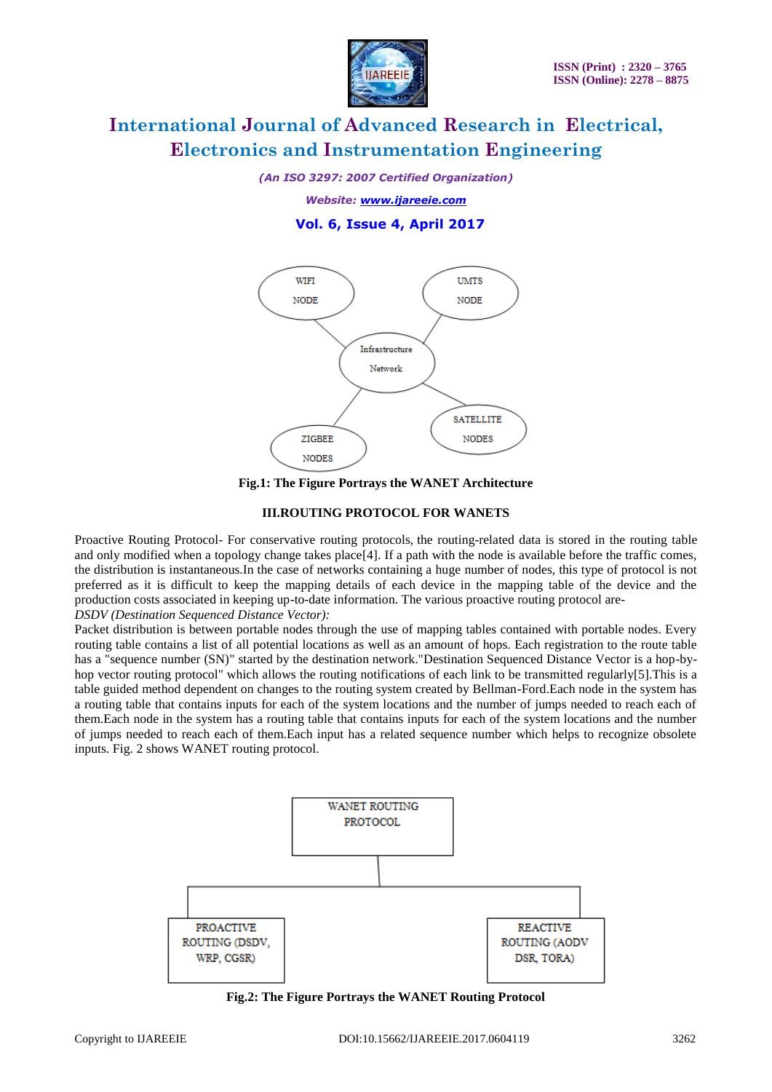

*(An ISO 3297: 2007 Certified Organization)*

*Website: [www.ijareeie.com](http://www.ijareeie.com/)*

## **Vol. 6, Issue 4, April 2017**



**Fig.1: The Figure Portrays the WANET Architecture**

#### **III.ROUTING PROTOCOL FOR WANETS**

Proactive Routing Protocol- For conservative routing protocols, the routing-related data is stored in the routing table and only modified when a topology change takes place[4]. If a path with the node is available before the traffic comes, the distribution is instantaneous.In the case of networks containing a huge number of nodes, this type of protocol is not preferred as it is difficult to keep the mapping details of each device in the mapping table of the device and the production costs associated in keeping up-to-date information. The various proactive routing protocol are-*DSDV (Destination Sequenced Distance Vector):*

Packet distribution is between portable nodes through the use of mapping tables contained with portable nodes. Every routing table contains a list of all potential locations as well as an amount of hops. Each registration to the route table has a "sequence number (SN)" started by the destination network."Destination Sequenced Distance Vector is a hop-byhop vector routing protocol" which allows the routing notifications of each link to be transmitted regularly[5].This is a table guided method dependent on changes to the routing system created by Bellman-Ford.Each node in the system has a routing table that contains inputs for each of the system locations and the number of jumps needed to reach each of them.Each node in the system has a routing table that contains inputs for each of the system locations and the number of jumps needed to reach each of them.Each input has a related sequence number which helps to recognize obsolete inputs. Fig. 2 shows WANET routing protocol.



**Fig.2: The Figure Portrays the WANET Routing Protocol**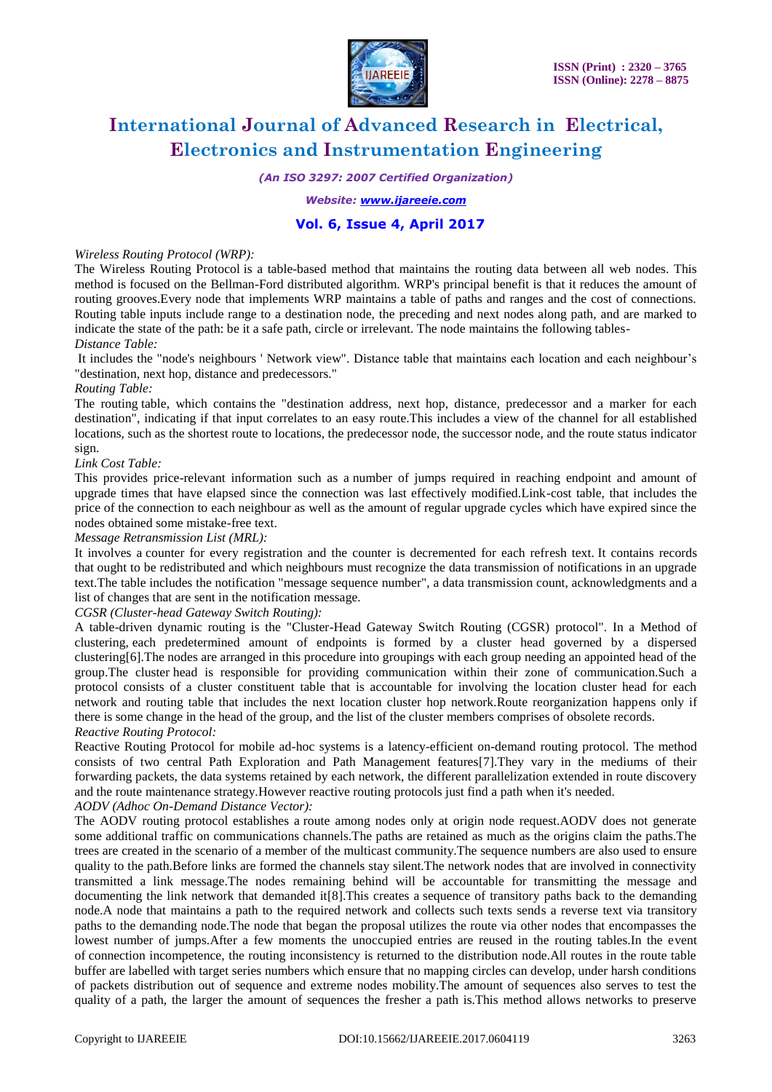

*(An ISO 3297: 2007 Certified Organization)*

#### *Website: [www.ijareeie.com](http://www.ijareeie.com/)*

### **Vol. 6, Issue 4, April 2017**

#### *Wireless Routing Protocol (WRP):*

The Wireless Routing Protocol is a table-based method that maintains the routing data between all web nodes. This method is focused on the Bellman-Ford distributed algorithm. WRP's principal benefit is that it reduces the amount of routing grooves.Every node that implements WRP maintains a table of paths and ranges and the cost of connections. Routing table inputs include range to a destination node, the preceding and next nodes along path, and are marked to indicate the state of the path: be it a safe path, circle or irrelevant. The node maintains the following tables-*Distance Table:*

It includes the "node's neighbours ' Network view". Distance table that maintains each location and each neighbour's "destination, next hop, distance and predecessors."

#### *Routing Table:*

The routing table, which contains the "destination address, next hop, distance, predecessor and a marker for each destination", indicating if that input correlates to an easy route.This includes a view of the channel for all established locations, such as the shortest route to locations, the predecessor node, the successor node, and the route status indicator sign.

#### *Link Cost Table:*

This provides price-relevant information such as a number of jumps required in reaching endpoint and amount of upgrade times that have elapsed since the connection was last effectively modified.Link-cost table, that includes the price of the connection to each neighbour as well as the amount of regular upgrade cycles which have expired since the nodes obtained some mistake-free text.

#### *Message Retransmission List (MRL):*

It involves a counter for every registration and the counter is decremented for each refresh text. It contains records that ought to be redistributed and which neighbours must recognize the data transmission of notifications in an upgrade text.The table includes the notification "message sequence number", a data transmission count, acknowledgments and a list of changes that are sent in the notification message.

#### *CGSR (Cluster-head Gateway Switch Routing):*

A table-driven dynamic routing is the "Cluster-Head Gateway Switch Routing (CGSR) protocol". In a Method of clustering, each predetermined amount of endpoints is formed by a cluster head governed by a dispersed clustering[6].The nodes are arranged in this procedure into groupings with each group needing an appointed head of the group.The cluster head is responsible for providing communication within their zone of communication.Such a protocol consists of a cluster constituent table that is accountable for involving the location cluster head for each network and routing table that includes the next location cluster hop network.Route reorganization happens only if there is some change in the head of the group, and the list of the cluster members comprises of obsolete records.

### *Reactive Routing Protocol:*

Reactive Routing Protocol for mobile ad-hoc systems is a latency-efficient on-demand routing protocol. The method consists of two central Path Exploration and Path Management features[7].They vary in the mediums of their forwarding packets, the data systems retained by each network, the different parallelization extended in route discovery and the route maintenance strategy.However reactive routing protocols just find a path when it's needed.

#### *AODV (Adhoc On-Demand Distance Vector):*

The AODV routing protocol establishes a route among nodes only at origin node request.AODV does not generate some additional traffic on communications channels.The paths are retained as much as the origins claim the paths.The trees are created in the scenario of a member of the multicast community.The sequence numbers are also used to ensure quality to the path.Before links are formed the channels stay silent.The network nodes that are involved in connectivity transmitted a link message.The nodes remaining behind will be accountable for transmitting the message and documenting the link network that demanded it[8].This creates a sequence of transitory paths back to the demanding node.A node that maintains a path to the required network and collects such texts sends a reverse text via transitory paths to the demanding node.The node that began the proposal utilizes the route via other nodes that encompasses the lowest number of jumps.After a few moments the unoccupied entries are reused in the routing tables.In the event of connection incompetence, the routing inconsistency is returned to the distribution node.All routes in the route table buffer are labelled with target series numbers which ensure that no mapping circles can develop, under harsh conditions of packets distribution out of sequence and extreme nodes mobility.The amount of sequences also serves to test the quality of a path, the larger the amount of sequences the fresher a path is.This method allows networks to preserve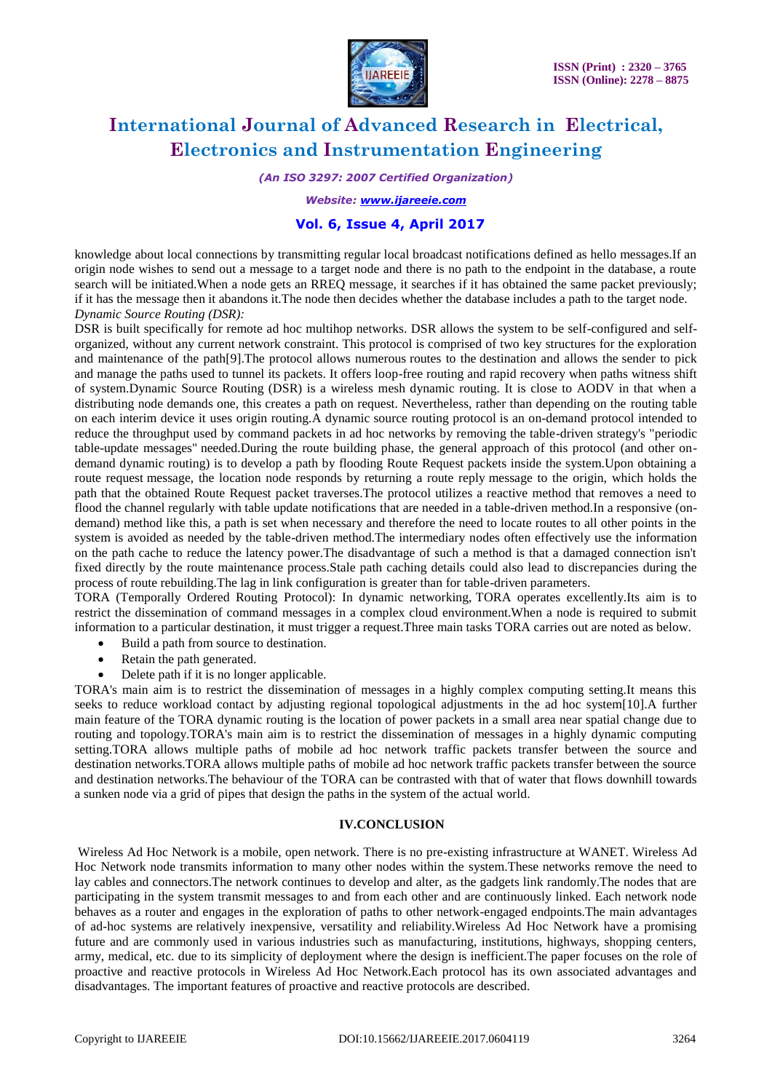

*(An ISO 3297: 2007 Certified Organization)*

*Website: [www.ijareeie.com](http://www.ijareeie.com/)*

### **Vol. 6, Issue 4, April 2017**

knowledge about local connections by transmitting regular local broadcast notifications defined as hello messages.If an origin node wishes to send out a message to a target node and there is no path to the endpoint in the database, a route search will be initiated.When a node gets an RREQ message, it searches if it has obtained the same packet previously; if it has the message then it abandons it.The node then decides whether the database includes a path to the target node. *Dynamic Source Routing (DSR):*

DSR is built specifically for remote ad hoc multihop networks. DSR allows the system to be self-configured and selforganized, without any current network constraint. This protocol is comprised of two key structures for the exploration and maintenance of the path[9].The protocol allows numerous routes to the destination and allows the sender to pick and manage the paths used to tunnel its packets. It offers loop-free routing and rapid recovery when paths witness shift of system.Dynamic Source Routing (DSR) is a wireless mesh dynamic routing. It is close to AODV in that when a distributing node demands one, this creates a path on request. Nevertheless, rather than depending on the routing table on each interim device it uses origin routing.A dynamic source routing protocol is an on-demand protocol intended to reduce the throughput used by command packets in ad hoc networks by removing the table-driven strategy's "periodic table-update messages" needed.During the route building phase, the general approach of this protocol (and other ondemand dynamic routing) is to develop a path by flooding Route Request packets inside the system.Upon obtaining a route request message, the location node responds by returning a route reply message to the origin, which holds the path that the obtained Route Request packet traverses.The protocol utilizes a reactive method that removes a need to flood the channel regularly with table update notifications that are needed in a table-driven method.In a responsive (ondemand) method like this, a path is set when necessary and therefore the need to locate routes to all other points in the system is avoided as needed by the table-driven method.The intermediary nodes often effectively use the information on the path cache to reduce the latency power.The disadvantage of such a method is that a damaged connection isn't fixed directly by the route maintenance process.Stale path caching details could also lead to discrepancies during the process of route rebuilding.The lag in link configuration is greater than for table-driven parameters.

TORA (Temporally Ordered Routing Protocol): In dynamic networking, TORA operates excellently.Its aim is to restrict the dissemination of command messages in a complex cloud environment.When a node is required to submit information to a particular destination, it must trigger a request.Three main tasks TORA carries out are noted as below.

- Build a path from source to destination.
- Retain the path generated.
- Delete path if it is no longer applicable.

TORA's main aim is to restrict the dissemination of messages in a highly complex computing setting.It means this seeks to reduce workload contact by adjusting regional topological adjustments in the ad hoc system[10].A further main feature of the TORA dynamic routing is the location of power packets in a small area near spatial change due to routing and topology.TORA's main aim is to restrict the dissemination of messages in a highly dynamic computing setting.TORA allows multiple paths of mobile ad hoc network traffic packets transfer between the source and destination networks.TORA allows multiple paths of mobile ad hoc network traffic packets transfer between the source and destination networks.The behaviour of the TORA can be contrasted with that of water that flows downhill towards a sunken node via a grid of pipes that design the paths in the system of the actual world.

### **IV.CONCLUSION**

Wireless Ad Hoc Network is a mobile, open network. There is no pre-existing infrastructure at WANET. Wireless Ad Hoc Network node transmits information to many other nodes within the system.These networks remove the need to lay cables and connectors.The network continues to develop and alter, as the gadgets link randomly.The nodes that are participating in the system transmit messages to and from each other and are continuously linked. Each network node behaves as a router and engages in the exploration of paths to other network-engaged endpoints.The main advantages of ad-hoc systems are relatively inexpensive, versatility and reliability.Wireless Ad Hoc Network have a promising future and are commonly used in various industries such as manufacturing, institutions, highways, shopping centers, army, medical, etc. due to its simplicity of deployment where the design is inefficient.The paper focuses on the role of proactive and reactive protocols in Wireless Ad Hoc Network.Each protocol has its own associated advantages and disadvantages. The important features of proactive and reactive protocols are described.